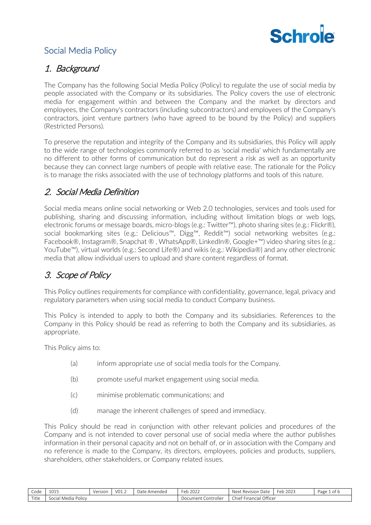

# Social Media Policy

### 1. Background

The Company has the following Social Media Policy (Policy) to regulate the use of social media by people associated with the Company or its subsidiaries. The Policy covers the use of electronic media for engagement within and between the Company and the market by directors and employees, the Company's contractors (including subcontractors) and employees of the Company's contractors, joint venture partners (who have agreed to be bound by the Policy) and suppliers (Restricted Persons).

To preserve the reputation and integrity of the Company and its subsidiaries, this Policy will apply to the wide range of technologies commonly referred to as 'social media' which fundamentally are no different to other forms of communication but do represent a risk as well as an opportunity because they can connect large numbers of people with relative ease. The rationale for the Policy is to manage the risks associated with the use of technology platforms and tools of this nature.

# 2. Social Media Definition

Social media means online social networking or Web 2.0 technologies, services and tools used for publishing, sharing and discussing information, including without limitation blogs or web logs, electronic forums or message boards, micro-blogs (e.g.: Twitter™), photo sharing sites (e.g.: Flickr®), social bookmarking sites (e.g.: Delicious™, Digg™, Reddit™) social networking websites (e.g.: Facebook®, Instagram®, Snapchat ® , WhatsApp®, LinkedIn®, Google+™) video sharing sites (e.g.: YouTube™), virtual worlds (e.g.: Second Life®) and wikis (e.g.: Wikipedia®) and any other electronic media that allow individual users to upload and share content regardless of format.

# 3. Scope of Policy

This Policy outlines requirements for compliance with confidentiality, governance, legal, privacy and regulatory parameters when using social media to conduct Company business.

This Policy is intended to apply to both the Company and its subsidiaries. References to the Company in this Policy should be read as referring to both the Company and its subsidiaries, as appropriate.

This Policy aims to:

- (a) inform appropriate use of social media tools for the Company.
- (b) promote useful market engagement using social media.
- (c) minimise problematic communications; and
- (d) manage the inherent challenges of speed and immediacy.

This Policy should be read in conjunction with other relevant policies and procedures of the Company and is not intended to cover personal use of social media where the author publishes information in their personal capacity and not on behalf of, or in association with the Company and no reference is made to the Company, its directors, employees, policies and products, suppliers, shareholders, other stakeholders, or Company related issues.

| Code  | 40.41<br>ᆚᄓᅶ                  | Versior | V01.4 | Date<br>`Amendec | $\sim$<br>$\sim$ $\sim$ $\sim$<br>⊦≏r<br>2022<br>.              | $\sim$<br>Next<br>. Revision<br>-Date   | 202<br>-leb 2025 | Page<br>οı |
|-------|-------------------------------|---------|-------|------------------|-----------------------------------------------------------------|-----------------------------------------|------------------|------------|
| Title | <b>Policy</b><br>Social Media |         |       |                  | ument.<br>$\alpha$ ntrollor<br>$\sim$<br>rone<br>,,,,<br>$\sim$ | $\sim$<br>Officer<br>Financial<br>Chief |                  |            |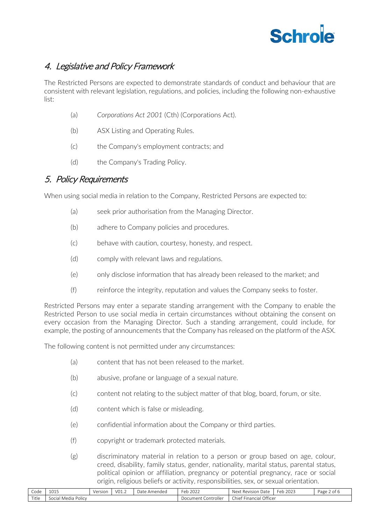

# 4. Legislative and Policy Framework

The Restricted Persons are expected to demonstrate standards of conduct and behaviour that are consistent with relevant legislation, regulations, and policies, including the following non-exhaustive list:

- (a) *Corporations Act 2001* (Cth) (Corporations Act).
- (b) ASX Listing and Operating Rules.
- (c) the Company's employment contracts; and
- (d) the Company's Trading Policy.

#### 5. Policy Requirements

When using social media in relation to the Company, Restricted Persons are expected to:

- (a) seek prior authorisation from the Managing Director.
- (b) adhere to Company policies and procedures.
- (c) behave with caution, courtesy, honesty, and respect.
- (d) comply with relevant laws and regulations.
- (e) only disclose information that has already been released to the market; and
- (f) reinforce the integrity, reputation and values the Company seeks to foster.

Restricted Persons may enter a separate standing arrangement with the Company to enable the Restricted Person to use social media in certain circumstances without obtaining the consent on every occasion from the Managing Director. Such a standing arrangement, could include, for example, the posting of announcements that the Company has released on the platform of the ASX.

The following content is not permitted under any circumstances:

- (a) content that has not been released to the market.
- (b) abusive, profane or language of a sexual nature.
- (c) content not relating to the subject matter of that blog, board, forum, or site.
- (d) content which is false or misleading.
- (e) confidential information about the Company or third parties.
- (f) copyright or trademark protected materials.
- (g) discriminatory material in relation to a person or group based on age, colour, creed, disability, family status, gender, nationality, marital status, parental status, political opinion or affiliation, pregnancy or potential pregnancy, race or social origin, religious beliefs or activity, responsibilities, sex, or sexual orientation.

| Code  | 1015<br>⊥∪⊥J                       | Version | V01.2 | : Amendec<br>Date | 202<br>-eb 2022        | -<br>Next<br>Date<br>Revision | $\sim$<br>202<br>Feb<br>2023 | Page<br>ot. |
|-------|------------------------------------|---------|-------|-------------------|------------------------|-------------------------------|------------------------------|-------------|
| Title | $\sim$<br>. Media Policy<br>Social |         |       |                   | Controller<br>Document | Officer<br>Financial<br>'hıe۔ |                              |             |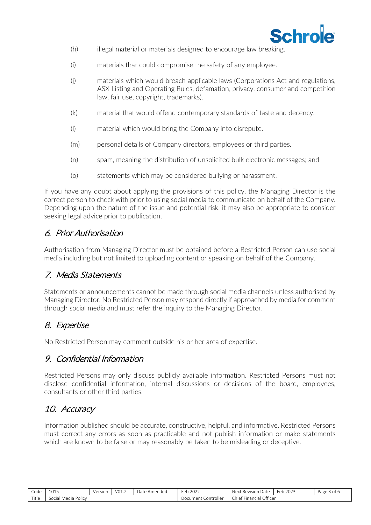

- (h) illegal material or materials designed to encourage law breaking.
- (i) materials that could compromise the safety of any employee.
- (j) materials which would breach applicable laws (Corporations Act and regulations, ASX Listing and Operating Rules, defamation, privacy, consumer and competition law, fair use, copyright, trademarks).
- (k) material that would offend contemporary standards of taste and decency.
- (l) material which would bring the Company into disrepute.
- (m) personal details of Company directors, employees or third parties.
- (n) spam, meaning the distribution of unsolicited bulk electronic messages; and
- (o) statements which may be considered bullying or harassment.

If you have any doubt about applying the provisions of this policy, the Managing Director is the correct person to check with prior to using social media to communicate on behalf of the Company. Depending upon the nature of the issue and potential risk, it may also be appropriate to consider seeking legal advice prior to publication.

### 6. Prior Authorisation

Authorisation from Managing Director must be obtained before a Restricted Person can use social media including but not limited to uploading content or speaking on behalf of the Company.

#### 7. Media Statements

Statements or announcements cannot be made through social media channels unless authorised by Managing Director. No Restricted Person may respond directly if approached by media for comment through social media and must refer the inquiry to the Managing Director.

# 8. Expertise

No Restricted Person may comment outside his or her area of expertise.

#### 9. Confidential Information

Restricted Persons may only discuss publicly available information. Restricted Persons must not disclose confidential information, internal discussions or decisions of the board, employees, consultants or other third parties.

#### 10. Accuracy

Information published should be accurate, constructive, helpful, and informative. Restricted Persons must correct any errors as soon as practicable and not publish information or make statements which are known to be false or may reasonably be taken to be misleading or deceptive.

| Code  | 101F<br>1013             | Version | VO1.2 | `Amendeo<br>Date | $\sim$ $\sim$ $\sim$<br>Feb 2022 | $\sim$<br>Next<br>Date<br>Revision | 2023<br>Feb | Page 3 of <sub>b</sub> |
|-------|--------------------------|---------|-------|------------------|----------------------------------|------------------------------------|-------------|------------------------|
| Title | . Media Policy<br>Social |         |       |                  | .,<br>controller<br>Document     | Financial Officer<br>"hiet         |             |                        |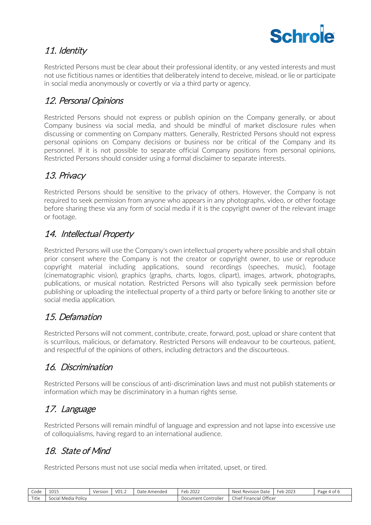

# 11. Identity

Restricted Persons must be clear about their professional identity, or any vested interests and must not use fictitious names or identities that deliberately intend to deceive, mislead, or lie or participate in social media anonymously or covertly or via a third party or agency.

# 12. Personal Opinions

Restricted Persons should not express or publish opinion on the Company generally, or about Company business via social media, and should be mindful of market disclosure rules when discussing or commenting on Company matters. Generally, Restricted Persons should not express personal opinions on Company decisions or business nor be critical of the Company and its personnel. If it is not possible to separate official Company positions from personal opinions, Restricted Persons should consider using a formal disclaimer to separate interests.

# 13. Privacy

Restricted Persons should be sensitive to the privacy of others. However, the Company is not required to seek permission from anyone who appears in any photographs, video, or other footage before sharing these via any form of social media if it is the copyright owner of the relevant image or footage.

### 14. Intellectual Property

Restricted Persons will use the Company's own intellectual property where possible and shall obtain prior consent where the Company is not the creator or copyright owner, to use or reproduce copyright material including applications, sound recordings (speeches, music), footage (cinematographic vision), graphics (graphs, charts, logos, clipart), images, artwork, photographs, publications, or musical notation. Restricted Persons will also typically seek permission before publishing or uploading the intellectual property of a third party or before linking to another site or social media application.

# 15. Defamation

Restricted Persons will not comment, contribute, create, forward, post, upload or share content that is scurrilous, malicious, or defamatory. Restricted Persons will endeavour to be courteous, patient, and respectful of the opinions of others, including detractors and the discourteous.

# 16. Discrimination

Restricted Persons will be conscious of anti-discrimination laws and must not publish statements or information which may be discriminatory in a human rights sense.

# 17. Language

Restricted Persons will remain mindful of language and expression and not lapse into excessive use of colloquialisms, having regard to an international audience.

# 18. State of Mind

Restricted Persons must not use social media when irritated, upset, or tired.

| $\sim$<br>Code | 0.25<br>TUTP.                            | Version | VO1.2 | Date<br>: Amendeo | -<br>2022<br>⊢er<br>∪ ∪ | Next<br>Revision<br>Date      | 2023<br>$\sim$<br>⊦er<br>. | Page 4<br>טו ט |
|----------------|------------------------------------------|---------|-------|-------------------|-------------------------|-------------------------------|----------------------------|----------------|
| Title          | l Media Policv<br>innia<br><b>SOCIAL</b> |         |       |                   | Document<br>Controller  | Officer<br>Chief<br>-inancial |                            |                |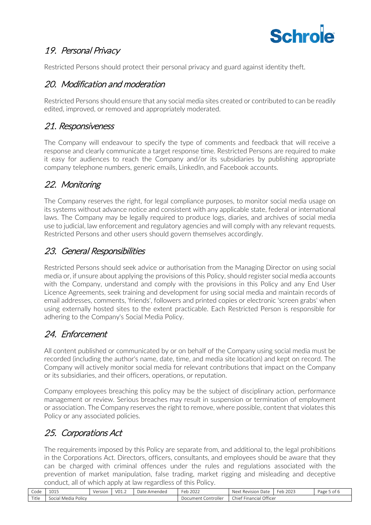

# 19. Personal Privacy

Restricted Persons should protect their personal privacy and guard against identity theft.

### 20. Modification and moderation

Restricted Persons should ensure that any social media sites created or contributed to can be readily edited, improved, or removed and appropriately moderated.

### 21. Responsiveness

The Company will endeavour to specify the type of comments and feedback that will receive a response and clearly communicate a target response time. Restricted Persons are required to make it easy for audiences to reach the Company and/or its subsidiaries by publishing appropriate company telephone numbers, generic emails, LinkedIn, and Facebook accounts.

# 22. Monitoring

The Company reserves the right, for legal compliance purposes, to monitor social media usage on its systems without advance notice and consistent with any applicable state, federal or international laws. The Company may be legally required to produce logs, diaries, and archives of social media use to judicial, law enforcement and regulatory agencies and will comply with any relevant requests. Restricted Persons and other users should govern themselves accordingly.

#### 23. General Responsibilities

Restricted Persons should seek advice or authorisation from the Managing Director on using social media or, if unsure about applying the provisions of this Policy, should register social media accounts with the Company, understand and comply with the provisions in this Policy and any End User Licence Agreements, seek training and development for using social media and maintain records of email addresses, comments, 'friends', followers and printed copies or electronic 'screen grabs' when using externally hosted sites to the extent practicable. Each Restricted Person is responsible for adhering to the Company's Social Media Policy.

# 24. Enforcement

All content published or communicated by or on behalf of the Company using social media must be recorded (including the author's name, date, time, and media site location) and kept on record. The Company will actively monitor social media for relevant contributions that impact on the Company or its subsidiaries, and their officers, operations, or reputation.

Company employees breaching this policy may be the subject of disciplinary action, performance management or review. Serious breaches may result in suspension or termination of employment or association. The Company reserves the right to remove, where possible, content that violates this Policy or any associated policies.

# 25. Corporations Act

The requirements imposed by this Policy are separate from, and additional to, the legal prohibitions in the Corporations Act. Directors, officers, consultants, and employees should be aware that they can be charged with criminal offences under the rules and regulations associated with the prevention of market manipulation, false trading, market rigging and misleading and deceptive conduct, all of which apply at law regardless of this Policy.

| $\sim$<br>Code | 1015<br>1012             | Version | VO1.2 | Date<br>Amended | Feb.<br>2022             | Next<br>Date<br>Revision   | 2023<br>Feb | Page 5 of 6 |
|----------------|--------------------------|---------|-------|-----------------|--------------------------|----------------------------|-------------|-------------|
| Title          | i Media Policv<br>Social |         |       |                 | Document<br>. Controller | Officer<br>Chief Financial |             |             |